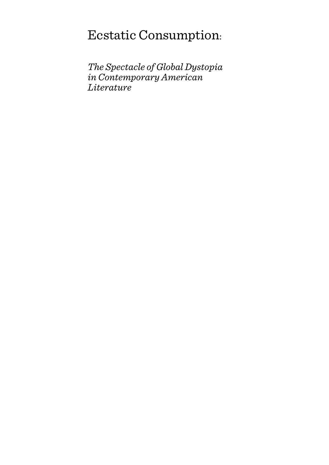# Ecstatic Consumption:

*The Spectacle of Global Dystopia in Contemporary American Literature*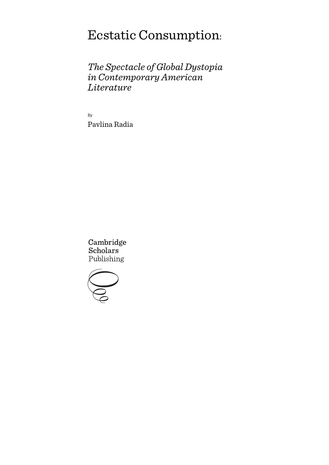# Ecstatic Consumption:

*The Spectacle of Global Dystopia in Contemporary American Literature*

By Pavlina Radia

Cambridge **Scholars** Publishing

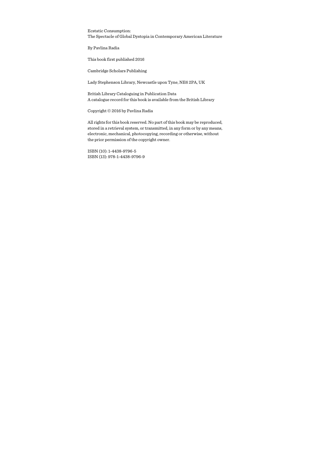Ecstatic Consumption: The Spectacle of Global Dystopia in Contemporary American Literature

By Pavlina Radia

This book first published 2016

Cambridge Scholars Publishing

Lady Stephenson Library, Newcastle upon Tyne, NE6 2PA, UK

British Library Cataloguing in Publication Data A catalogue record for this book is available from the British Library

Copyright © 2016 by Pavlina Radia

All rights for this book reserved. No part of this book may be reproduced, stored in a retrieval system, or transmitted, in any form or by any means, electronic, mechanical, photocopying, recording or otherwise, without the prior permission of the copyright owner.

ISBN (10): 1-4438-9796-5 ISBN (13): 978-1-4438-9796-9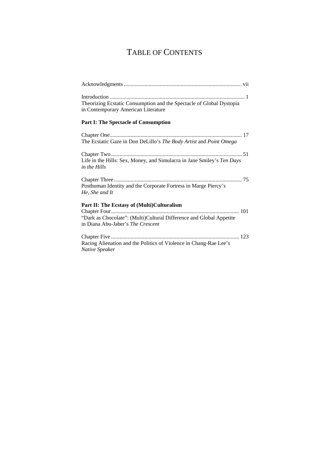# TABLE OF CONTENTS

| Theorizing Ecstatic Consumption and the Spectacle of Global Dystopia<br>in Contemporary American Literature                                            |
|--------------------------------------------------------------------------------------------------------------------------------------------------------|
| <b>Part I: The Spectacle of Consumption</b>                                                                                                            |
| The Ecstatic Gaze in Don DeLillo's The Body Artist and Point Omega                                                                                     |
| Life in the Hills: Sex, Money, and Simulacra in Jane Smiley's Ten Days<br>in the Hills                                                                 |
| Posthuman Identity and the Corporate Fortress in Marge Piercy's<br>He, She and It                                                                      |
| Part II: The Ecstasy of (Multi)Culturalism<br>"Dark as Chocolate": (Multi)Cultural Difference and Global Appetite<br>in Diana Abu-Jaber's The Crescent |
| Racing Alienation and the Politics of Violence in Chang-Rae Lee's<br>Native Speaker                                                                    |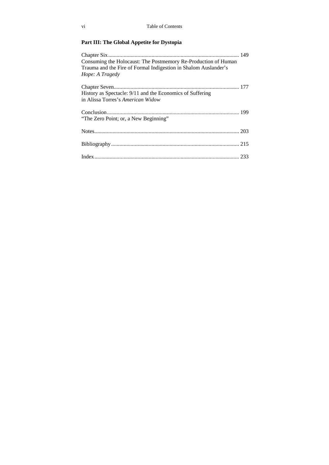## **Part III: The Global Appetite for Dystopia**

| Consuming the Holocaust: The Postmemory Re-Production of Human  |  |
|-----------------------------------------------------------------|--|
| Trauma and the Fire of Formal Indigestion in Shalom Auslander's |  |
| Hope: A Tragedy                                                 |  |
|                                                                 |  |
| History as Spectacle: 9/11 and the Economics of Suffering       |  |
| in Alissa Torres's American Widow                               |  |
|                                                                 |  |
| "The Zero Point; or, a New Beginning"                           |  |
|                                                                 |  |
|                                                                 |  |
|                                                                 |  |
|                                                                 |  |
|                                                                 |  |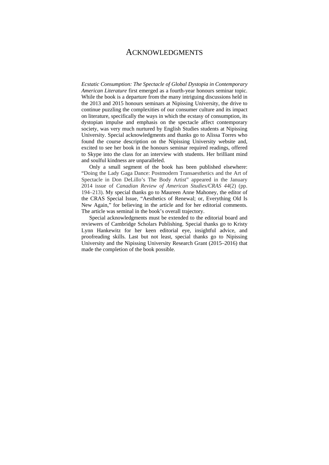### ACKNOWLEDGMENTS

*Ecstatic Consumption: The Spectacle of Global Dystopia in Contemporary American Literature* first emerged as a fourth-year honours seminar topic. While the book is a departure from the many intriguing discussions held in the 2013 and 2015 honours seminars at Nipissing University, the drive to continue puzzling the complexities of our consumer culture and its impact on literature, specifically the ways in which the ecstasy of consumption, its dystopian impulse and emphasis on the spectacle affect contemporary society, was very much nurtured by English Studies students at Nipissing University. Special acknowledgments and thanks go to Alissa Torres who found the course description on the Nipissing University website and, excited to see her book in the honours seminar required readings, offered to Skype into the class for an interview with students. Her brilliant mind and soulful kindness are unparalleled.

Only a small segment of the book has been published elsewhere: "Doing the Lady Gaga Dance: Postmodern Transaesthetics and the Art of Spectacle in Don DeLillo's The Body Artist" appeared in the January 2014 issue of *Canadian Review of American Studies/CRAS 44*(2) (pp. 194–213). My special thanks go to Maureen Anne Mahoney, the editor of the CRAS Special Issue, "Aesthetics of Renewal; or, Everything Old Is New Again," for believing in the article and for her editorial comments. The article was seminal in the book's overall trajectory.

Special acknowledgments must be extended to the editorial board and reviewers of Cambridge Scholars Publishing. Special thanks go to Kristy Lynn Hankewitz for her keen editorial eye, insightful advice, and proofreading skills. Last but not least, special thanks go to Nipissing University and the Nipissing University Research Grant (2015–2016) that made the completion of the book possible.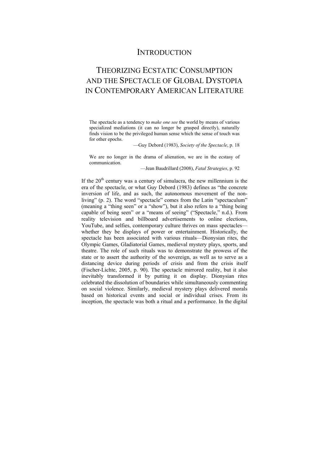## **INTRODUCTION**

## THEORIZING ECSTATIC CONSUMPTION AND THE SPECTACLE OF GLOBAL DYSTOPIA IN CONTEMPORARY AMERICAN LITERATURE

The spectacle as a tendency to *make one see* the world by means of various specialized mediations (it can no longer be grasped directly), naturally finds vision to be the privileged human sense which the sense of touch was for other epochs.

—Guy Debord (1983), *Society of the Spectacle*, p. 18

We are no longer in the drama of alienation, we are in the ecstasy of communication.

—Jean Baudrillard (2008), *Fatal Strategies*, p. 92

If the  $20<sup>th</sup>$  century was a century of simulacra, the new millennium is the era of the spectacle, or what Guy Debord (1983) defines as "the concrete inversion of life, and as such, the autonomous movement of the nonliving" (p. 2). The word "spectacle" comes from the Latin "spectaculum" (meaning a "thing seen" or a "show"), but it also refers to a "thing being capable of being seen" or a "means of seeing" ("Spectacle," n.d.). From reality television and billboard advertisements to online elections, YouTube, and selfies, contemporary culture thrives on mass spectacles whether they be displays of power or entertainment. Historically, the spectacle has been associated with various rituals—Dionysian rites, the Olympic Games, Gladiatorial Games, medieval mystery plays, sports, and theatre. The role of such rituals was to demonstrate the prowess of the state or to assert the authority of the sovereign, as well as to serve as a distancing device during periods of crisis and from the crisis itself (Fischer-Lichte, 2005, p. 90). The spectacle mirrored reality, but it also inevitably transformed it by putting it on display. Dionysian rites celebrated the dissolution of boundaries while simultaneously commenting on social violence. Similarly, medieval mystery plays delivered morals based on historical events and social or individual crises. From its inception, the spectacle was both a ritual and a performance. In the digital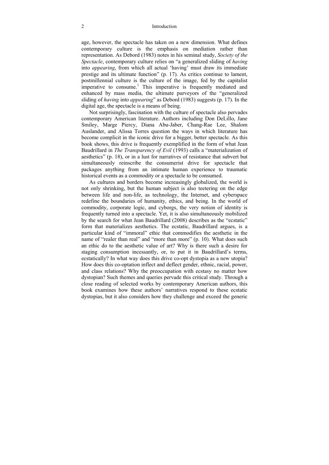#### 2 Introduction

age, however, the spectacle has taken on a new dimension. What defines contemporary culture is the emphasis on mediation rather than representation. As Debord (1983) notes in his seminal study, *Society of the Spectacle*, contemporary culture relies on "a generalized sliding of *having*  into *appearing*, from which all actual 'having' must draw its immediate prestige and its ultimate function" (p. 17). As critics continue to lament, postmillennial culture is the culture of the image, fed by the capitalist imperative to consume.<sup>1</sup> This imperative is frequently mediated and enhanced by mass media, the ultimate purveyors of the "generalized sliding of *having* into *appearing*" as Debord (1983) suggests (p. 17). In the digital age, the spectacle is a means of being.

Not surprisingly, fascination with the culture of spectacle also pervades contemporary American literature. Authors including Don DeLillo, Jane Smiley, Marge Piercy, Diana Abu-Jaber, Chang-Rae Lee, Shalom Auslander, and Alissa Torres question the ways in which literature has become complicit in the iconic drive for a bigger, better spectacle. As this book shows, this drive is frequently exemplified in the form of what Jean Baudrillard in *The Transparency of Evil* (1993) calls a "materialization of aesthetics" (p. 18), or in a lust for narratives of resistance that subvert but simultaneously reinscribe the consumerist drive for spectacle that packages anything from an intimate human experience to traumatic historical events as a commodity or a spectacle to be consumed.

As cultures and borders become increasingly globalized, the world is not only shrinking, but the human subject is also teetering on the edge between life and non-life, as technology, the Internet, and cyberspace redefine the boundaries of humanity, ethics, and being. In the world of commodity, corporate logic, and cyborgs, the very notion of identity is frequently turned into a spectacle. Yet, it is also simultaneously mobilized by the search for what Jean Baudrillard (2008) describes as the "ecstatic" form that materializes aesthetics. The ecstatic, Baudrillard argues, is a particular kind of "immoral" ethic that commodifies the aesthetic in the name of "realer than real" and "more than more" (p. 10). What does such an ethic do to the aesthetic value of art? Why is there such a desire for staging consumption incessantly, or, to put it in Baudrillard's terms, ecstatically? In what way does this drive co-opt dystopia as a new utopia? How does this co-optation inflect and deflect gender, ethnic, racial, power, and class relations? Why the preoccupation with ecstasy no matter how dystopian? Such themes and queries pervade this critical study. Through a close reading of selected works by contemporary American authors, this book examines how these authors' narratives respond to these ecstatic dystopias, but it also considers how they challenge and exceed the generic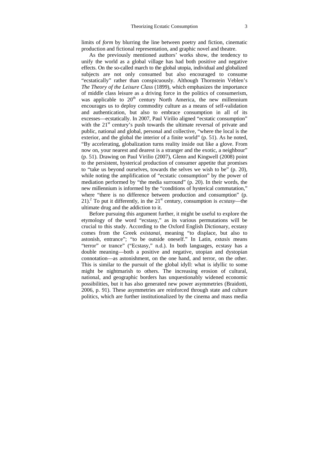limits of *form* by blurring the line between poetry and fiction, cinematic production and fictional representation, and graphic novel and theatre.

As the previously mentioned authors' works show, the tendency to unify the world as a global village has had both positive and negative effects. On the so-called march to the global utopia, individual and globalized subjects are not only consumed but also encouraged to consume "ecstatically" rather than conspicuously. Although Thornstein Veblen's *The Theory of the Leisure Class* (1899), which emphasizes the importance of middle class leisure as a driving force in the politics of consumerism, was applicable to  $20<sup>th</sup>$  century North America, the new millennium encourages us to deploy commodity culture as a means of self-validation and authentication, but also to embrace consumption in all of its excesses—ecstatically. In 2007, Paul Virilio aligned "ecstatic consumption" with the 21<sup>st</sup> century's push towards the ultimate reversal of private and public, national and global, personal and collective, "where the local is the exterior, and the global the interior of a finite world" (p. 51). As he noted, "By accelerating, globalization turns reality inside out like a glove. From now on, your nearest and dearest is a stranger and the exotic, a neighbour" (p. 51). Drawing on Paul Virilio (2007), Glenn and Kingwell (2008) point to the persistent, hysterical production of consumer appetite that promises to "take us beyond ourselves, towards the selves we wish to be" (p. 20), while noting the amplification of "ecstatic consumption" by the power of mediation performed by "the media surround" (p. 20). In their words, the new millennium is informed by the "conditions of hysterical commutation," where "there is no difference between production and consumption" (p.  $21$ ).<sup>2</sup> To put it differently, in the  $21<sup>st</sup>$  century, consumption is *ecstasy*—the ultimate drug and the addiction to it.

Before pursuing this argument further, it might be useful to explore the etymology of the word "ecstasy," as its various permutations will be crucial to this study. According to the Oxford English Dictionary, ecstasy comes from the Greek *existanai*, meaning "to displace, but also to astonish, entrance"; "to be outside oneself." In Latin, *extasis* means "terror" or trance" ("Ecstasy," n.d.). In both languages, ecstasy has a double meaning—both a positive and negative, utopian and dystopian connotation—as astonishment, on the one hand, and terror, on the other. This is similar to the pursuit of the global idyll: what is idyllic to some might be nightmarish to others. The increasing erosion of cultural, national, and geographic borders has unquestionably widened economic possibilities, but it has also generated new power asymmetries (Braidotti, 2006, p. 91). These asymmetries are reinforced through state and culture politics, which are further institutionalized by the cinema and mass media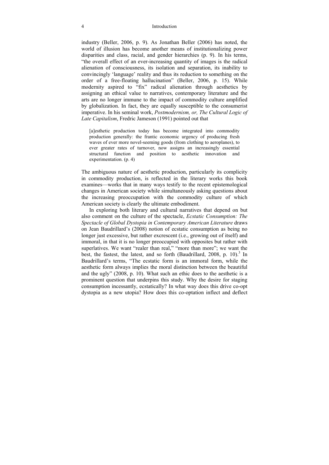#### 4 Introduction

industry (Beller, 2006, p. 9). As Jonathan Beller (2006) has noted, the world of illusion has become another means of institutionalizing power disparities and class, racial, and gender hierarchies (p. 9). In his terms, "the overall effect of an ever-increasing quantity of images is the radical alienation of consciousness, its isolation and separation, its inability to convincingly 'language' reality and thus its reduction to something on the order of a free-floating hallucination" (Beller, 2006, p. 15). While modernity aspired to "fix" radical alienation through aesthetics by assigning an ethical value to narratives, contemporary literature and the arts are no longer immune to the impact of commodity culture amplified by globalization. In fact, they are equally susceptible to the consumerist imperative. In his seminal work, *Postmodernism, or, The Cultural Logic of Late Capitalism*, Fredric Jameson (1991) pointed out that

[a]esthetic production today has become integrated into commodity production generally: the frantic economic urgency of producing fresh waves of ever more novel-seeming goods (from clothing to aeroplanes), to ever greater rates of turnover, now assigns an increasingly essential structural function and position to aesthetic innovation and experimentation. (p. 4)

The ambiguous nature of aesthetic production, particularly its complicity in commodity production, is reflected in the literary works this book examines—works that in many ways testify to the recent epistemological changes in American society while simultaneously asking questions about the increasing preoccupation with the commodity culture of which American society is clearly the ultimate embodiment.

In exploring both literary and cultural narratives that depend on but also comment on the culture of the spectacle, *Ecstatic Consumption: The Spectacle of Global Dystopia in Contemporary American Literature* draws on Jean Baudrillard's (2008) notion of ecstatic consumption as being no longer just excessive, but rather excrescent (i.e., growing out of itself) and immoral, in that it is no longer preoccupied with opposites but rather with superlatives. We want "realer than real," "more than more"; we want the best, the fastest, the latest, and so forth (Baudrillard, 2008, p. 10).<sup>3</sup> In Baudrillard's terms, "The ecstatic form is an immoral form, while the aesthetic form always implies the moral distinction between the beautiful and the ugly" (2008, p. 10). What such an ethic does to the aesthetic is a prominent question that underpins this study. Why the desire for staging consumption incessantly, ecstatically? In what way does this drive co-opt dystopia as a new utopia? How does this co-optation inflect and deflect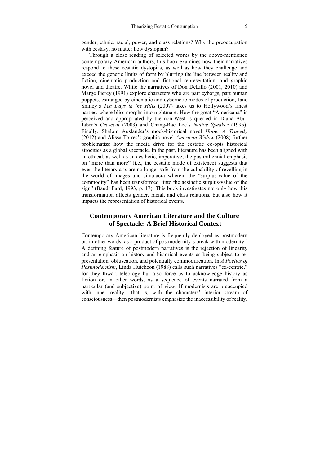gender, ethnic, racial, power, and class relations? Why the preoccupation with ecstasy, no matter how dystopian?

Through a close reading of selected works by the above-mentioned contemporary American authors, this book examines how their narratives respond to these ecstatic dystopias, as well as how they challenge and exceed the generic limits of form by blurring the line between reality and fiction, cinematic production and fictional representation, and graphic novel and theatre. While the narratives of Don DeLillo (2001, 2010) and Marge Piercy (1991) explore characters who are part cyborgs, part human puppets, estranged by cinematic and cybernetic modes of production, Jane Smiley's *Ten Days in the Hills* (2007) takes us to Hollywood's finest parties, where bliss morphs into nightmare. How the great "Americana" is perceived and appropriated by the non-West is queried in Diana Abu-Jaber's *Crescent* (2003) and Chang-Rae Lee's *Native Speaker* (1995). Finally, Shalom Auslander's mock-historical novel *Hope: A Tragedy* (2012) and Alissa Torres's graphic novel *American Widow* (2008) further problematize how the media drive for the ecstatic co-opts historical atrocities as a global spectacle. In the past, literature has been aligned with an ethical, as well as an aesthetic, imperative; the postmillennial emphasis on "more than more" (i.e., the ecstatic mode of existence) suggests that even the literary arts are no longer safe from the culpability of revelling in the world of images and simulacra wherein the "surplus-value of the commodity" has been transformed "into the aesthetic surplus-value of the sign" (Baudrillard, 1993, p. 17). This book investigates not only how this transformation affects gender, racial, and class relations, but also how it impacts the representation of historical events.

#### **Contemporary American Literature and the Culture of Spectacle: A Brief Historical Context**

Contemporary American literature is frequently deployed as postmodern or, in other words, as a product of postmodernity's break with modernity.4 A defining feature of postmodern narratives is the rejection of linearity and an emphasis on history and historical events as being subject to representation, obfuscation, and potentially commodification. In *A Poetics of Postmodernism*, Linda Hutcheon (1988) calls such narratives "ex-centric," for they thwart teleology but also force us to acknowledge history as fiction or, in other words, as a sequence of events narrated from a particular (and subjective) point of view. If modernists are preoccupied with inner reality,—that is, with the characters' interior stream of consciousness—then postmodernists emphasize the inaccessibility of reality.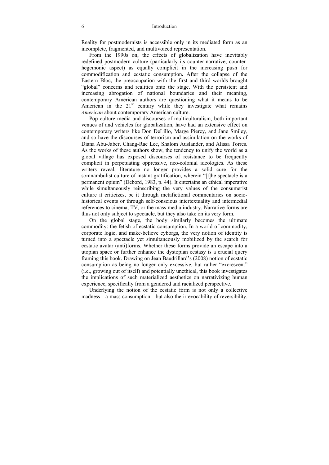Reality for postmodernists is accessible only in its mediated form as an incomplete, fragmented, and multivoiced representation.

From the 1990s on, the effects of globalization have inevitably redefined postmodern culture (particularly its counter-narrative, counterhegemonic aspect) as equally complicit in the increasing push for commodification and ecstatic consumption**.** After the collapse of the Eastern Bloc, the preoccupation with the first and third worlds brought "global" concerns and realities onto the stage. With the persistent and increasing abrogation of national boundaries and their meaning, contemporary American authors are questioning what it means to be American in the  $21<sup>st</sup>$  century while they investigate what remains *American* about contemporary American culture.

Pop culture media and discourses of multiculturalism, both important venues of and vehicles for globalization, have had an extensive effect on contemporary writers like Don DeLillo, Marge Piercy, and Jane Smiley, and so have the discourses of terrorism and assimilation on the works of Diana Abu-Jaber, Chang-Rae Lee, Shalom Auslander, and Alissa Torres. As the works of these authors show, the tendency to unify the world as a global village has exposed discourses of resistance to be frequently complicit in perpetuating oppressive, neo-colonial ideologies. As these writers reveal, literature no longer provides a solid cure for the somnambulist culture of instant gratification, wherein "[t]he spectacle is a permanent opium" (Debord, 1983, p. 44). It entertains an ethical imperative while simultaneously reinscribing the very values of the consumerist culture it criticizes, be it through metafictional commentaries on sociohistorical events or through self-conscious intertextuality and intermedial references to cinema, TV, or the mass media industry. Narrative forms are thus not only subject to spectacle, but they also take on its very form.

On the global stage, the body similarly becomes the ultimate commodity: the fetish of ecstatic consumption. In a world of commodity, corporate logic, and make-believe cyborgs, the very notion of identity is turned into a spectacle yet simultaneously mobilized by the search for ecstatic avatar (anti)forms. Whether these forms provide an escape into a utopian space or further enhance the dystopian ecstasy is a crucial query framing this book. Drawing on Jean Baudrillard's (2008) notion of ecstatic consumption as being no longer only excessive, but rather "excrescent" (i.e., growing out of itself) and potentially unethical, this book investigates the implications of such materialized aesthetics on narrativizing human experience, specifically from a gendered and racialized perspective.

Underlying the notion of the ecstatic form is not only a collective madness—a mass consumption—but also the irrevocability of reversibility.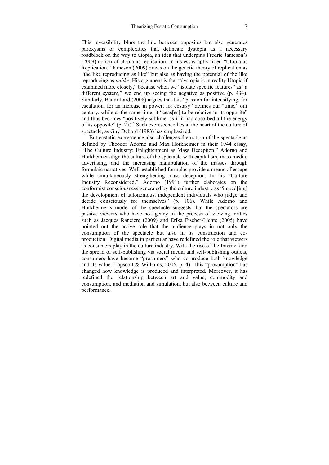This reversibility blurs the line between opposites but also generates paroxysms or complexities that delineate dystopia as a necessary roadblock on the way to utopia, an idea that underpins Fredric Jameson's (2009) notion of utopia as replication. In his essay aptly titled "Utopia as Replication," Jameson (2009) draws on the genetic theory of replication as "the like reproducing as like" but also as having the potential of the like reproducing as *unlike*. His argument is that "dystopia is in reality Utopia if examined more closely," because when we "isolate specific features" as "a different system," we end up seeing the negative as positive (p. 434). Similarly, Baudrillard (2008) argues that this "passion for intensifying, for escalation, for an increase in power, for ecstasy" defines our "time," our century, while at the same time, it "ceas[es] to be relative to its opposite" and thus becomes "positively sublime, as if it had absorbed all the energy of its opposite"  $(p. 27)$ .<sup>5</sup> Such excrescence lies at the heart of the culture of spectacle, as Guy Debord (1983) has emphasized.

But ecstatic excrescence also challenges the notion of the spectacle as defined by Theodor Adorno and Max Horkheimer in their 1944 essay, "The Culture Industry: Enlightenment as Mass Deception." Adorno and Horkheimer align the culture of the spectacle with capitalism, mass media, advertising, and the increasing manipulation of the masses through formulaic narratives. Well-established formulas provide a means of escape while simultaneously strengthening mass deception. In his "Culture Industry Reconsidered," Adorno (1991) further elaborates on the conformist consciousness generated by the culture industry as "imped[ing] the development of autonomous, independent individuals who judge and decide consciously for themselves" (p. 106). While Adorno and Horkheimer's model of the spectacle suggests that the spectators are passive viewers who have no agency in the process of viewing, critics such as Jacques Rancière (2009) and Erika Fischer-Lichte (2005) have pointed out the active role that the audience plays in not only the consumption of the spectacle but also in its construction and coproduction. Digital media in particular have redefined the role that viewers as consumers play in the culture industry. With the rise of the Internet and the spread of self-publishing via social media and self-publishing outlets, consumers have become "prosumers" who co-produce both knowledge and its value (Tapscott & Williams, 2006, p. 4). This "prosumption" has changed how knowledge is produced and interpreted. Moreover, it has redefined the relationship between art and value, commodity and consumption, and mediation and simulation, but also between culture and performance.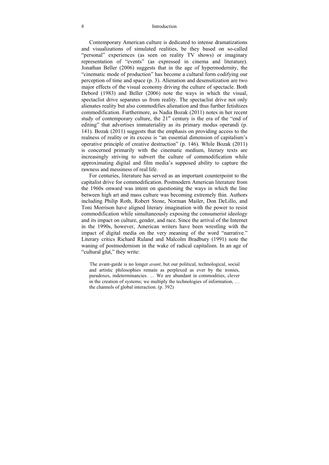#### 8 Introduction

Contemporary American culture is dedicated to intense dramatizations and visualizations of simulated realities, be they based on so-called "personal" experiences (as seen on reality TV shows) or imaginary representation of "events" (as expressed in cinema and literature). Jonathan Beller (2006) suggests that in the age of hypermodernity, the "cinematic mode of production" has become a cultural form codifying our perception of time and space (p. 3). Alienation and desensitization are two major effects of the visual economy driving the culture of spectacle. Both Debord (1983) and Beller (2006) note the ways in which the visual, spectaclist drive separates us from reality. The spectaclist drive not only alienates reality but also commodifies alienation and thus further fetishizes commodification. Furthermore, as Nadia Bozak (2011) notes in her recent study of contemporary culture, the  $21<sup>st</sup>$  century is the era of the "end of editing" that advertises immateriality as its primary modus operandi (p. 141). Bozak (2011) suggests that the emphasis on providing access to the realness of reality or its excess is "an essential dimension of capitalism's operative principle of creative destruction" (p. 146). While Bozak (2011) is concerned primarily with the cinematic medium, literary texts are increasingly striving to subvert the culture of commodification while approximating digital and film media's supposed ability to capture the rawness and messiness of real life.

For centuries, literature has served as an important counterpoint to the capitalist drive for commodification. Postmodern American literature from the 1960s onward was intent on questioning the ways in which the line between high art and mass culture was becoming extremely thin. Authors including Philip Roth, Robert Stone, Norman Mailer, Don DeLillo, and Toni Morrison have aligned literary imagination with the power to resist commodification while simultaneously exposing the consumerist ideology and its impact on culture, gender, and race. Since the arrival of the Internet in the 1990s, however, American writers have been wrestling with the impact of digital media on the very meaning of the word "narrative." Literary critics Richard Ruland and Malcolm Bradbury (1991) note the waning of postmodernism in the wake of radical capitalism. In an age of "cultural glut," they write:

The avant-garde is no longer *avant*, but our political, technological, social and artistic philosophies remain as perplexed as ever by the ironies, paradoxes, indeterminancies. … We are abundant in commodities, clever in the creation of systems; we multiply the technologies of information, … the channels of global interaction. (p. 392)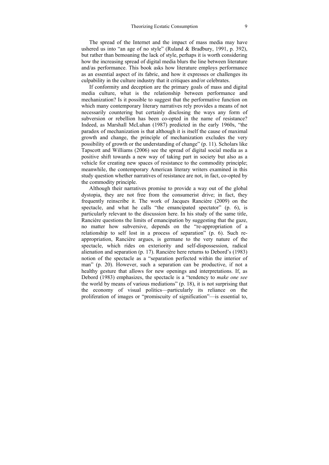The spread of the Internet and the impact of mass media may have ushered us into "an age of no style" (Ruland & Bradbury, 1991, p. 392), but rather than bemoaning the lack of style, perhaps it is worth considering how the increasing spread of digital media blurs the line between literature and/as performance. This book asks how literature employs performance as an essential aspect of its fabric, and how it expresses or challenges its culpability in the culture industry that it critiques and/or celebrates.

If conformity and deception are the primary goals of mass and digital media culture, what is the relationship between performance and mechanization? Is it possible to suggest that the performative function on which many contemporary literary narratives rely provides a means of not necessarily countering but certainly disclosing the ways any form of subversion or rebellion has been co-opted in the name of resistance? Indeed, as Marshall McLuhan (1987) predicted in the early 1960s, "the paradox of mechanization is that although it is itself the cause of maximal growth and change, the principle of mechanization excludes the very possibility of growth or the understanding of change" (p. 11). Scholars like Tapscott and Williams (2006) see the spread of digital social media as a positive shift towards a new way of taking part in society but also as a vehicle for creating new spaces of resistance to the commodity principle; meanwhile, the contemporary American literary writers examined in this study question whether narratives of resistance are not, in fact, co-opted by the commodity principle.

Although their narratives promise to provide a way out of the global dystopia, they are not free from the consumerist drive; in fact, they frequently reinscribe it. The work of Jacques Rancière (2009) on the spectacle, and what he calls "the emancipated spectator" (p. 6), is particularly relevant to the discussion here. In his study of the same title, Rancière questions the limits of emancipation by suggesting that the gaze, no matter how subversive, depends on the "re-appropriation of a relationship to self lost in a process of separation" (p. 6). Such reappropriation, Rancière argues, is germane to the very nature of the spectacle, which rides on exteriority and self-dispossession, radical alienation and separation (p. 17). Rancière here returns to Debord's (1983) notion of the spectacle as a "separation perfected within the interior of man" (p. 20). However, such a separation can be productive, if not a healthy gesture that allows for new openings and interpretations. If, as Debord (1983) emphasizes, the spectacle is a "tendency to *make one see* the world by means of various mediations" (p. 18), it is not surprising that the economy of visual politics—particularly its reliance on the proliferation of images or "promiscuity of signification"—is essential to,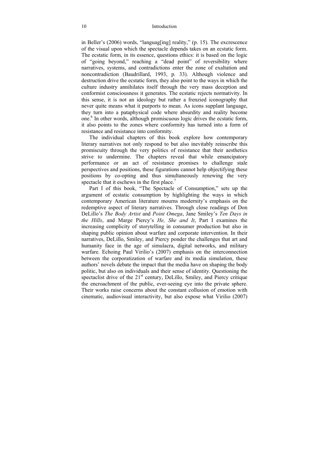in Beller's (2006) words, "languag[ing] reality," (p. 15). The excrescence of the visual upon which the spectacle depends takes on an ecstatic form. The ecstatic form, in its essence, questions ethics: it is based on the logic of "going beyond," reaching a "dead point" of reversibility where narratives, systems, and contradictions enter the zone of exaltation and noncontradiction (Baudrillard, 1993, p. 33). Although violence and destruction drive the ecstatic form, they also point to the ways in which the culture industry annihilates itself through the very mass deception and conformist consciousness it generates. The ecstatic rejects normativity. In this sense, it is not an ideology but rather a frenzied iconography that never quite means what it purports to mean. As icons supplant language, they turn into a pataphysical code where absurdity and reality become one.<sup>6</sup> In other words, although promiscuous logic drives the ecstatic form, it also points to the zones where conformity has turned into a form of resistance and resistance into conformity.

The individual chapters of this book explore how contemporary literary narratives not only respond to but also inevitably reinscribe this promiscuity through the very politics of resistance that their aesthetics strive to undermine. The chapters reveal that while emancipatory performance or an act of resistance promises to challenge stale perspectives and positions, these figurations cannot help objectifying these positions by co-opting and thus simultaneously renewing the very spectacle that it eschews in the first place. $7$ 

Part I of this book, "The Spectacle of Consumption," sets up the argument of ecstatic consumption by highlighting the ways in which contemporary American literature mourns modernity's emphasis on the redemptive aspect of literary narratives. Through close readings of Don DeLillo's *The Body Artist* and *Point Omega*, Jane Smiley's *Ten Days in the Hills*, and Marge Piercy's *He, She and It*, Part I examines the increasing complicity of storytelling in consumer production but also in shaping public opinion about warfare and corporate intervention. In their narratives, DeLillo, Smiley, and Piercy ponder the challenges that art and humanity face in the age of simulacra, digital networks, and military warfare. Echoing Paul Virilio's (2007) emphasis on the interconnection between the corporatization of warfare and its media simulation, these authors' novels debate the impact that the media have on shaping the body politic, but also on individuals and their sense of identity. Questioning the spectaclist drive of the 21<sup>st</sup> century, DeLillo, Smiley, and Piercy critique the encroachment of the public, ever-seeing eye into the private sphere. Their works raise concerns about the constant collusion of emotion with cinematic, audiovisual interactivity, but also expose what Virilio (2007)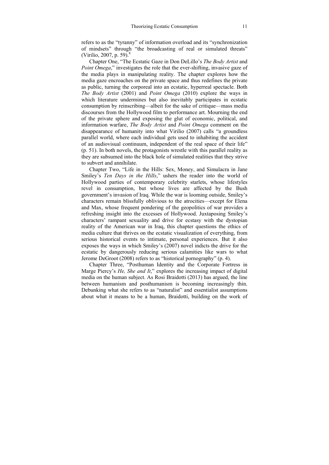refers to as the "tyranny" of information overload and its "synchronization of mindsets" through "the broadcasting of real or simulated threats" (Virilio, 2007, p. 59).<sup>8</sup>

Chapter One, "The Ecstatic Gaze in Don DeLillo's *The Body Artist* and *Point Omega*," investigates the role that the ever-shifting, invasive gaze of the media plays in manipulating reality. The chapter explores how the media gaze encroaches on the private space and thus redefines the private as public, turning the corporeal into an ecstatic, hyperreal spectacle. Both *The Body Artist* (2001) and *Point Omega* (2010) explore the ways in which literature undermines but also inevitably participates in ecstatic consumption by reinscribing—albeit for the sake of critique—mass media discourses from the Hollywood film to performance art. Mourning the end of the private sphere and exposing the glut of economic, political, and information warfare, *The Body Artist* and *Point Omega* comment on the disappearance of humanity into what Virilio (2007) calls "a groundless parallel world, where each individual gets used to inhabiting the accident of an audiovisual continuum, independent of the real space of their life" (p. 51). In both novels, the protagonists wrestle with this parallel reality as they are subsumed into the black hole of simulated realities that they strive to subvert and annihilate.

Chapter Two, "Life in the Hills: Sex, Money, and Simulacra in Jane Smiley's *Ten Days in the Hills*," ushers the reader into the world of Hollywood parties of contemporary celebrity starlets, whose lifestyles revel in consumption, but whose lives are affected by the Bush government's invasion of Iraq. While the war is looming outside, Smiley's characters remain blissfully oblivious to the atrocities—except for Elena and Max, whose frequent pondering of the geopolitics of war provides a refreshing insight into the excesses of Hollywood. Juxtaposing Smiley's characters' rampant sexuality and drive for ecstasy with the dystopian reality of the American war in Iraq, this chapter questions the ethics of media culture that thrives on the ecstatic visualization of everything, from serious historical events to intimate, personal experiences. But it also exposes the ways in which Smiley's (2007) novel indicts the drive for the ecstatic by dangerously reducing serious calamities like wars to what Jerome DeGroot (2008) refers to as "historical pornography" (p. 4).

Chapter Three, "Posthuman Identity and the Corporate Fortress in Marge Piercy's *He, She and It*," explores the increasing impact of digital media on the human subject. As Rosi Braidotti (2013) has argued, the line between humanism and posthumanism is becoming increasingly thin. Debunking what she refers to as "naturalist" and essentialist assumptions about what it means to be a human, Braidotti, building on the work of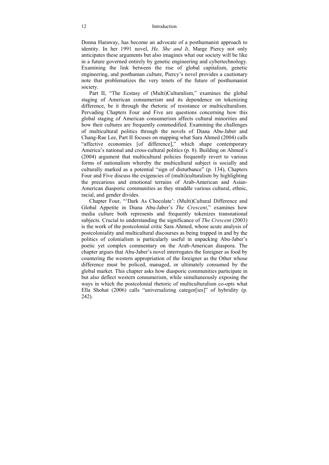Donna Haraway, has become an advocate of a posthumanist approach to identity. In her 1991 novel, *He, She and It*, Marge Piercy not only anticipates these arguments but also imagines what our society will be like in a future governed entirely by genetic engineering and cybertechnology. Examining the link between the rise of global capitalism, genetic engineering, and posthuman culture, Piercy's novel provides a cautionary note that problematizes the very tenets of the future of posthumanist society.

Part II, "The Ecstasy of (Multi)Culturalism," examines the global staging of American consumerism and its dependence on tokenizing difference, be it through the rhetoric of resistance or multiculturalism. Pervading Chapters Four and Five are questions concerning how this global staging of American consumerism affects cultural minorities and how their cultures are frequently commodified. Examining the challenges of multicultural politics through the novels of Diana Abu-Jaber and Chang-Rae Lee, Part II focuses on mapping what Sara Ahmed (2004) calls "affective economies [of difference]," which shape contemporary America's national and cross-cultural politics (p. 8). Building on Ahmed's (2004) argument that multicultural policies frequently revert to various forms of nationalism whereby the multicultural subject is socially and culturally marked as a potential "sign of disturbance" (p. 134), Chapters Four and Five discuss the exigencies of (multi)culturalism by highlighting the precarious and emotional terrains of Arab-American and Asian-American diasporic communities as they straddle various cultural, ethnic, racial, and gender divides.

Chapter Four, "'Dark As Chocolate': (Multi)Cultural Difference and Global Appetite in Diana Abu-Jaber's *The Crescent*," examines how media culture both represents and frequently tokenizes transnational subjects. Crucial to understanding the significance of *The Crescent* (2003) is the work of the postcolonial critic Sara Ahmed, whose acute analysis of postcoloniality and multicultural discourses as being trapped in and by the politics of colonialism is particularly useful in unpacking Abu-Jaber's poetic yet complex commentary on the Arab-American diaspora. The chapter argues that Abu-Jaber's novel interrogates the foreigner as food by countering the western appropriation of the foreigner as the Other whose difference must be policed, managed, or ultimately consumed by the global market. This chapter asks how diasporic communities participate in but also deflect western consumerism, while simultaneously exposing the ways in which the postcolonial rhetoric of multiculturalism co-opts what Ella Shohat (2006) calls "universalizing categor[ies]" of hybridity (p. 242).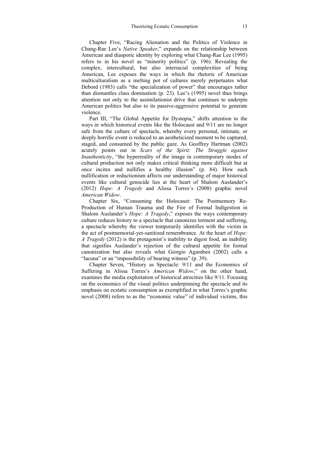Chapter Five, "Racing Alienation and the Politics of Violence in Chang-Rae Lee's *Native Speaker*," expands on the relationship between American and diasporic identity by exploring what Chang-Rae Lee (1995) refers to in his novel as "minority politics" (p. 196). Revealing the complex, intercultural, but also interracial complexities of being American, Lee exposes the ways in which the rhetoric of American multiculturalism as a melting pot of cultures merely perpetuates what Debord (1983) calls "the specialization of power" that encourages rather than dismantles class domination (p. 23). Lee's (1995) novel thus brings attention not only to the assimilationist drive that continues to underpin American politics but also to its passive-aggressive potential to generate violence.

Part III, "The Global Appetite for Dystopia," shifts attention to the ways in which historical events like the Holocaust and 9/11 are no longer safe from the culture of spectacle, whereby every personal, intimate, or deeply horrific event is reduced to an aestheticized moment to be captured, staged, and consumed by the public gaze. As Geoffrey Hartman (2002) acutely points out in *Scars of the Spirit: The Struggle against Inauthenticity*, "the hyperreality of the image in contemporary modes of cultural production not only makes critical thinking more difficult but at once incites and nullifies a healthy illusion" (p. 84). How such nullification or reductionism affects our understanding of major historical events like cultural genocide lies at the heart of Shalom Auslander's (2012) *Hope: A Tragedy* and Alissa Torres's (2008) graphic novel *American Widow*.

Chapter Six, "Consuming the Holocaust: The Postmemory Re-Production of Human Trauma and the Fire of Formal Indigestion in Shalom Auslander's *Hope: A Tragedy*," exposes the ways contemporary culture reduces history to a spectacle that canonizes torment and suffering, a spectacle whereby the viewer temporarily identifies with the victim in the act of postmemorial-yet-sanitized remembrance. At the heart of *Hope: A Tragedy* (2012) is the protagonist's inability to digest food, an inability that signifies Auslander's rejection of the cultural appetite for formal canonization but also reveals what Giorgio Agamben (2002) calls a "lacuna" or an "impossibility of bearing witness" (p. 39).

Chapter Seven, "History as Spectacle: 9/11 and the Economics of Suffering in Alissa Torres's *American Widow*," on the other hand, examines the media exploitation of historical atrocities like 9/11. Focusing on the economics of the visual politics underpinning the spectacle and its emphasis on ecstatic consumption as exemplified in what Torres's graphic novel (2008) refers to as the "economic value" of individual victims, this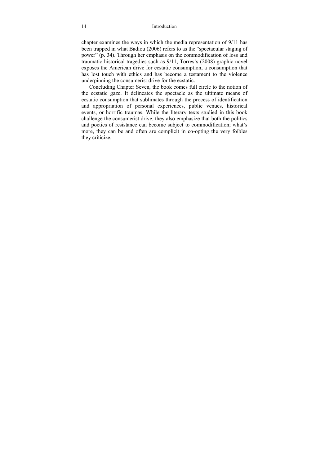#### 14 Introduction

chapter examines the ways in which the media representation of 9/11 has been trapped in what Badiou (2006) refers to as the "spectacular staging of power" (p. 34). Through her emphasis on the commodification of loss and traumatic historical tragedies such as 9/11, Torres's (2008) graphic novel exposes the American drive for ecstatic consumption, a consumption that has lost touch with ethics and has become a testament to the violence underpinning the consumerist drive for the ecstatic.

Concluding Chapter Seven, the book comes full circle to the notion of the ecstatic gaze. It delineates the spectacle as the ultimate means of ecstatic consumption that sublimates through the process of identification and appropriation of personal experiences, public venues, historical events, or horrific traumas. While the literary texts studied in this book challenge the consumerist drive, they also emphasize that both the politics and poetics of resistance can become subject to commodification; what's more, they can be and often are complicit in co-opting the very foibles they criticize.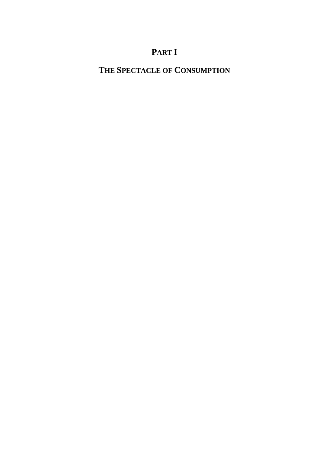# **PART I**

## **THE SPECTACLE OF CONSUMPTION**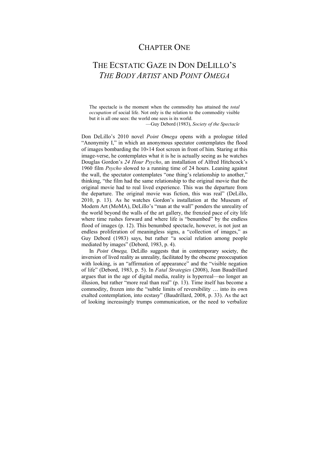## CHAPTER ONE

## THE ECSTATIC GAZE IN DON DELILLO'S *THE BODY ARTIST* AND *POINT OMEGA*

The spectacle is the moment when the commodity has attained the *total occupation* of social life. Not only is the relation to the commodity visible but it is all one sees: the world one sees is its world.

—Guy Debord (1983), *Society of the Spectacle* 

Don DeLillo's 2010 novel *Point Omega* opens with a prologue titled "Anonymity I," in which an anonymous spectator contemplates the flood of images bombarding the 10×14 foot screen in front of him. Staring at this image-verse, he contemplates what it is he is actually seeing as he watches Douglas Gordon's *24 Hour Psycho*, an installation of Alfred Hitchcock's 1960 film *Psycho* slowed to a running time of 24 hours. Leaning against the wall, the spectator contemplates "one thing's relationship to another," thinking, "the film had the same relationship to the original movie that the original movie had to real lived experience. This was the departure from the departure. The original movie was fiction, this was real" (DeLillo, 2010, p. 13). As he watches Gordon's installation at the Museum of Modern Art (MoMA), DeLillo's "man at the wall" ponders the unreality of the world beyond the walls of the art gallery, the frenzied pace of city life where time rushes forward and where life is "benumbed" by the endless flood of images (p. 12). This benumbed spectacle, however, is not just an endless proliferation of meaningless signs, a "collection of images," as Guy Debord (1983) says, but rather "a social relation among people mediated by images" (Debord, 1983, p. 4).

In *Point Omega,* DeLillo suggests that in contemporary society, the inversion of lived reality as unreality, facilitated by the obscene preoccupation with looking, is an "affirmation of appearance" and the "visible negation" of life" (Debord, 1983, p. 5). In *Fatal Strategies* (2008), Jean Baudrillard argues that in the age of digital media, reality is hyperreal—no longer an illusion, but rather "more real than real" (p. 13). Time itself has become a commodity, frozen into the "subtle limits of reversibility … into its own exalted contemplation, into ecstasy" (Baudrillard, 2008, p. 33). As the act of looking increasingly trumps communication, or the need to verbalize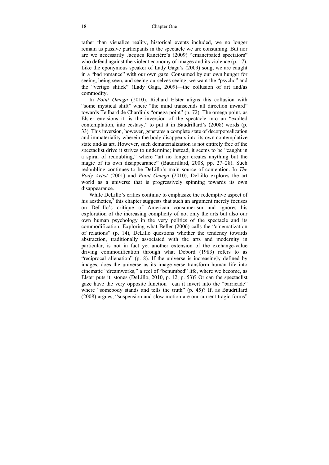rather than visualize reality, historical events included, we no longer remain as passive participants in the spectacle we are consuming. But nor are we necessarily Jacques Rancière's (2009) "emancipated spectators" who defend against the violent economy of images and its violence (p. 17). Like the eponymous speaker of Lady Gaga's (2009) song, we are caught in a "bad romance" with our own gaze. Consumed by our own hunger for seeing, being seen, and seeing ourselves seeing, we want the "psycho" and the "vertigo shtick" (Lady Gaga, 2009)—the collusion of art and/as commodity.

In *Point Omega* (2010), Richard Elster aligns this collusion with "some mystical shift" where "the mind transcends all direction inward" towards Teilhard de Chardin's "omega point" (p. 72). The omega point, as Elster envisions it, is the inversion of the spectacle into an "exalted contemplation, into ecstasy," to put it in Baudrillard's (2008) words (p. 33). This inversion, however, generates a complete state of decorporealization and immateriality wherein the body disappears into its own contemplative state and/as art. However, such dematerialization is not entirely free of the spectaclist drive it strives to undermine; instead, it seems to be "caught in a spiral of redoubling," where "art no longer creates anything but the magic of its own disappearance" (Baudrillard, 2008, pp. 27–28). Such redoubling continues to be DeLillo's main source of contention. In *The Body Artist* (2001) and *Point Omega* (2010), DeLillo explores the art world as a universe that is progressively spinning towards its own disappearance.

While DeLillo's critics continue to emphasize the redemptive aspect of his aesthetics,<sup>9</sup> this chapter suggests that such an argument merely focuses on DeLillo's critique of American consumerism and ignores his exploration of the increasing complicity of not only the arts but also our own human psychology in the very politics of the spectacle and its commodification. Exploring what Beller (2006) calls the "cinematization of relations" (p. 14), DeLillo questions whether the tendency towards abstraction, traditionally associated with the arts and modernity in particular, is not in fact yet another extension of the exchange-value driving commodification through what Debord (1983) refers to as "reciprocal alienation" (p. 8). If the universe is increasingly defined by images, does the universe as its image-verse transform human life into cinematic "dreamworks," a reel of "benumbed" life, where we become, as Elster puts it, stones (DeLillo, 2010, p. 12, p. 53)? Or can the spectaclist gaze have the very opposite function—can it invert into the "barricade" where "somebody stands and tells the truth" (p. 45)? If, as Baudrillard (2008) argues, "suspension and slow motion are our current tragic forms"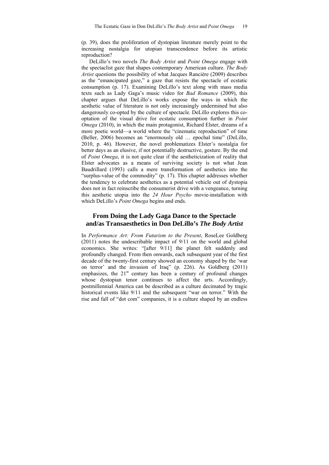(p. 39), does the proliferation of dystopian literature merely point to the increasing nostalgia for utopian transcendence before its artistic reproduction?

DeLillo's two novels *The Body Artist* and *Point Omega* engage with the spectaclist gaze that shapes contemporary American culture. *The Body Artist* questions the possibility of what Jacques Rancière (2009) describes as the "emancipated gaze," a gaze that resists the spectacle of ecstatic consumption (p. 17). Examining DeLillo's text along with mass media texts such as Lady Gaga's music video for *Bad Romance* (2009), this chapter argues that DeLillo's works expose the ways in which the aesthetic value of literature is not only increasingly undermined but also dangerously co-opted by the culture of spectacle. DeLillo explores this cooptation of the visual drive for ecstatic consumption further in *Point Omega* (2010), in which the main protagonist, Richard Elster, dreams of a more poetic world—a world where the "cinematic reproduction" of time (Beller, 2006) becomes an "enormously old … epochal time" (DeLillo, 2010, p. 46). However, the novel problematizes Elster's nostalgia for better days as an elusive, if not potentially destructive, gesture. By the end of *Point Omega*, it is not quite clear if the aestheticization of reality that Elster advocates as a means of surviving society is not what Jean Baudrillard (1993) calls a mere transformation of aesthetics into the "surplus-value of the commodity" (p. 17). This chapter addresses whether the tendency to celebrate aesthetics as a potential vehicle out of dystopia does not in fact reinscribe the consumerist drive with a vengeance, turning this aesthetic utopia into the *24 Hour Psycho* movie-installation with which DeLillo's *Point Omega* begins and ends.

#### **From Doing the Lady Gaga Dance to the Spectacle and/as Transaesthetics in Don DeLillo's** *The Body Artist*

In *Performance Art: From Futurism to the Present*, RoseLee Goldberg (2011) notes the undescribable impact of 9/11 on the world and global economics. She writes: "[after 9/11] the planet felt suddenly and profoundly changed. From then onwards, each subsequent year of the first decade of the twenty-first century showed an economy shaped by the 'war on terror' and the invasion of Iraq" (p. 226). As Goldberg (2011) emphasizes, the  $21<sup>st</sup>$  century has been a century of profound changes whose dystopian tenor continues to affect the arts. Accordingly, postmillennial America can be described as a culture decimated by tragic historical events like 9/11 and the subsequent "war on terror." With the rise and fall of "dot com" companies, it is a culture shaped by an endless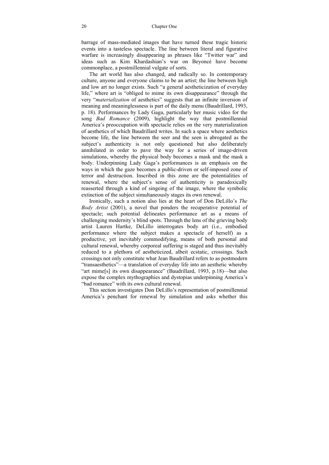barrage of mass-mediated images that have turned these tragic historic events into a tasteless spectacle. The line between literal and figurative warfare is increasingly disappearing as phrases like "Twitter war" and ideas such as Kim Khardashian's war on Beyoncé have become commonplace, a postmillennial vulgate of sorts.

The art world has also changed, and radically so. In contemporary culture, anyone and everyone claims to be an artist; the line between high and low art no longer exists. Such "a general aestheticization of everyday life," where art is "obliged to mime its own disappearance" through the very "*materialization* of aesthetics" suggests that an infinite inversion of meaning and meaninglessness is part of the daily menu (Baudrillard, 1993, p. 18). Performances by Lady Gaga, particularly her music video for the song *Bad Romance* (2009), highlight the way that postmillennial America's preoccupation with spectacle relies on the very materialization of aesthetics of which Baudrillard writes. In such a space where aesthetics become life, the line between the seer and the seen is abrogated as the subject's authenticity is not only questioned but also deliberately annihilated in order to pave the way for a series of image-driven simulations, whereby the physical body becomes a mask and the mask a body. Underpinning Lady Gaga's performances is an emphasis on the ways in which the gaze becomes a public-driven or self-imposed zone of terror and destruction. Inscribed in this zone are the potentialities of renewal, where the subject's sense of authenticity is paradoxically reasserted through a kind of singeing of the image, where the symbolic extinction of the subject simultaneously stages its own renewal.

Ironically, such a notion also lies at the heart of Don DeLillo's *The Body Artist* (2001), a novel that ponders the recuperative potential of spectacle; such potential delineates performance art as a means of challenging modernity's blind spots. Through the lens of the grieving body artist Lauren Hartke, DeLillo interrogates body art (i.e., embodied performance where the subject makes a spectacle of herself) as a productive, yet inevitably commodifying, means of both personal and cultural renewal, whereby corporeal suffering is staged and thus inevitably reduced to a plethora of aestheticized, albeit ecstatic, crossings. Such crossings not only constitute what Jean Baudrillard refers to as postmodern "transaesthetics"—a translation of everyday life into an aesthetic whereby "art mime[s] its own disappearance" (Baudrillard, 1993, p.18)—but also expose the complex mythographies and dystopias underpinning America's "bad romance" with its own cultural renewal.

This section investigates Don DeLillo's representation of postmillennial America's penchant for renewal by simulation and asks whether this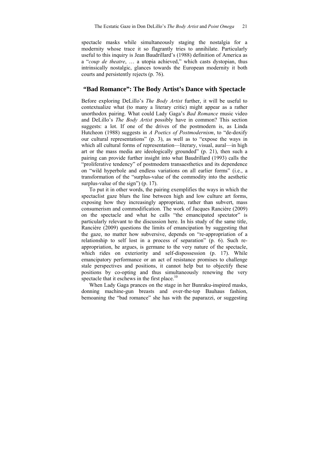spectacle masks while simultaneously staging the nostalgia for a modernity whose trace it so flagrantly tries to annihilate. Particularly useful to this inquiry is Jean Baudrillard's (1988) definition of America as a "*coup de theatre*, … a utopia achieved," which casts dystopian, thus intrinsically nostalgic, glances towards the European modernity it both courts and persistently rejects (p. 76).

#### **"Bad Romance": The Body Artist's Dance with Spectacle**

Before exploring DeLillo's *The Body Artist* further, it will be useful to contextualize what (to many a literary critic) might appear as a rather unorthodox pairing. What could Lady Gaga's *Bad Romance* music video and DeLillo's *The Body Artist* possibly have in common? This section suggests: a lot. If one of the drives of the postmodern is, as Linda Hutcheon (1988) suggests in *A Poetics of Postmodernism*, to "de-doxify our cultural representations" (p. 3), as well as to "expose the ways in which all cultural forms of representation—literary, visual, aural—in high art or the mass media are ideologically grounded" (p. 21), then such a pairing can provide further insight into what Baudrillard (1993) calls the "proliferative tendency" of postmodern transaesthetics and its dependence on "wild hyperbole and endless variations on all earlier forms" (i.e., a transformation of the "surplus-value of the commodity into the aesthetic surplus-value of the sign" (p. 17).

To put it in other words, the pairing exemplifies the ways in which the spectaclist gaze blurs the line between high and low culture art forms, exposing how they increasingly appropriate, rather than subvert, mass consumerism and commodification. The work of Jacques Rancière (2009) on the spectacle and what he calls "the emancipated spectator" is particularly relevant to the discussion here. In his study of the same title, Rancière (2009) questions the limits of emancipation by suggesting that the gaze, no matter how subversive, depends on "re-appropriation of a relationship to self lost in a process of separation" (p. 6). Such reappropriation, he argues, is germane to the very nature of the spectacle, which rides on exteriority and self-dispossession (p. 17). While emancipatory performance or an act of resistance promises to challenge stale perspectives and positions, it cannot help but to objectify these positions by co-opting and thus simultaneously renewing the very spectacle that it eschews in the first place.<sup>10</sup>

When Lady Gaga prances on the stage in her Bunraku-inspired masks, donning machine-gun breasts and over-the-top Bauhaus fashion, bemoaning the "bad romance" she has with the paparazzi, or suggesting